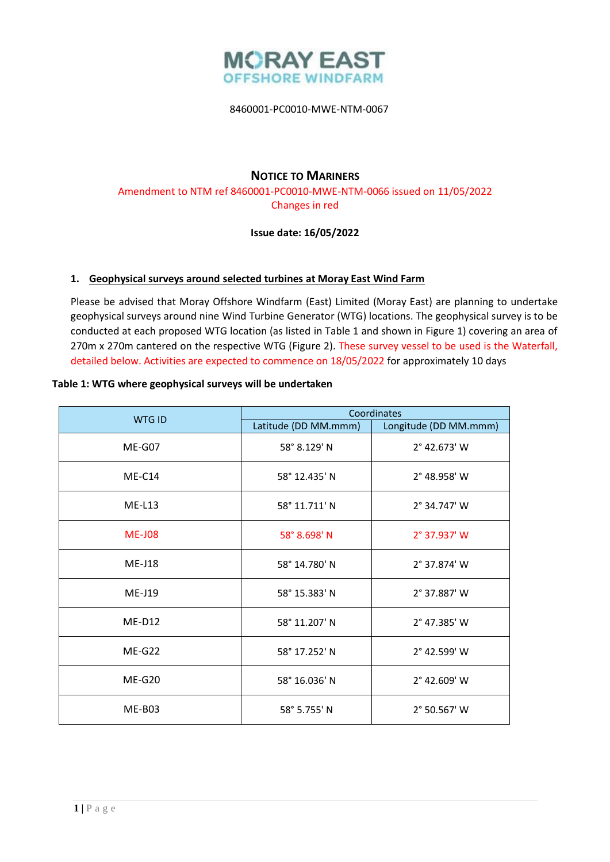

# **NOTICE TO MARINERS**

Amendment to NTM ref 8460001-PC0010-MWE-NTM-0066 issued on 11/05/2022 Changes in red

## **Issue date: 16/05/2022**

### **1. Geophysical surveys around selected turbines at Moray East Wind Farm**

Please be advised that Moray Offshore Windfarm (East) Limited (Moray East) are planning to undertake geophysical surveys around nine Wind Turbine Generator (WTG) locations. The geophysical survey is to be conducted at each proposed WTG location (as listed in Table 1 and shown in Figure 1) covering an area of 270m x 270m cantered on the respective WTG (Figure 2). These survey vessel to be used is the Waterfall, detailed below. Activities are expected to commence on 18/05/2022 for approximately 10 days

### **Table 1: WTG where geophysical surveys will be undertaken**

| <b>WTG ID</b> | Coordinates          |                       |
|---------------|----------------------|-----------------------|
|               | Latitude (DD MM.mmm) | Longitude (DD MM.mmm) |
| ME-G07        | 58° 8.129' N         | 2° 42.673' W          |
| $ME-C14$      | 58° 12.435' N        | 2° 48.958' W          |
| $ME-L13$      | 58° 11.711' N        | 2° 34.747' W          |
| <b>ME-J08</b> | 58° 8.698' N         | $2^{\circ}$ 37.937' W |
| $ME-J18$      | 58° 14.780' N        | 2° 37.874' W          |
| $ME-J19$      | 58° 15.383' N        | 2° 37.887' W          |
| $ME-D12$      | 58° 11.207' N        | 2° 47.385' W          |
| $ME-G22$      | 58° 17.252' N        | 2° 42.599' W          |
| $ME-G20$      | 58° 16.036' N        | 2° 42.609' W          |
| ME-B03        | 58° 5.755' N         | 2° 50.567' W          |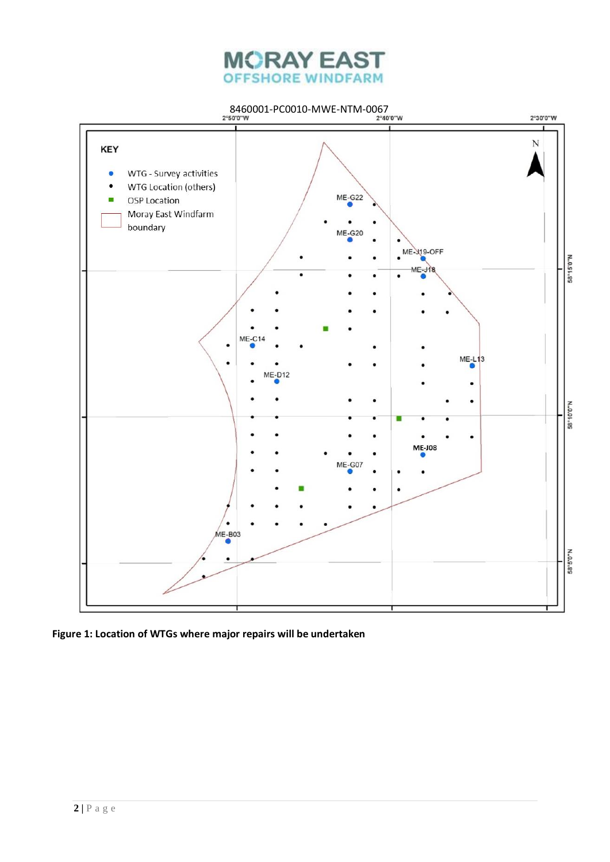



**Figure 1: Location of WTGs where major repairs will be undertaken**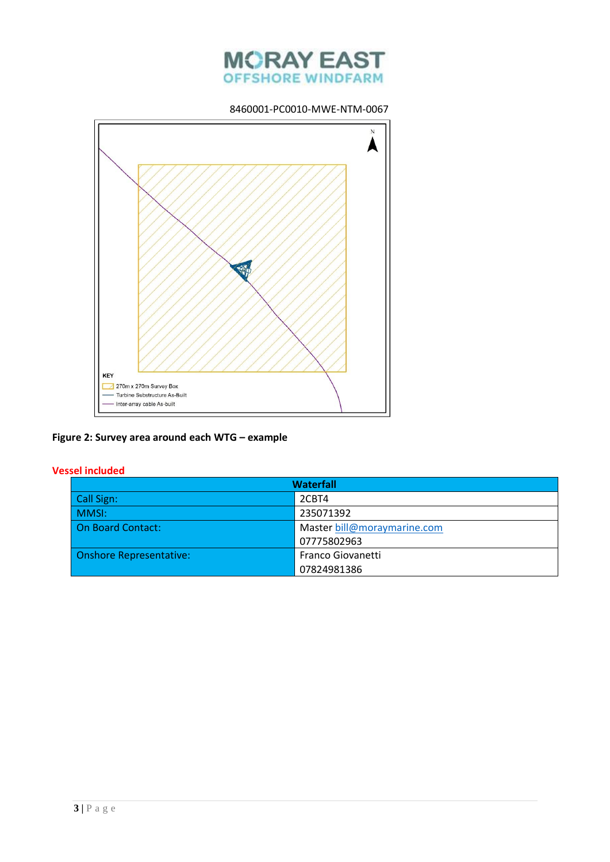



## **Figure 2: Survey area around each WTG – example**

## **Vessel included**

| <b>Waterfall</b>               |                             |  |
|--------------------------------|-----------------------------|--|
| Call Sign:                     | 2CBT4                       |  |
| MMSI:                          | 235071392                   |  |
| On Board Contact:              | Master bill@moraymarine.com |  |
|                                | 07775802963                 |  |
| <b>Onshore Representative:</b> | <b>Franco Giovanetti</b>    |  |
|                                | 07824981386                 |  |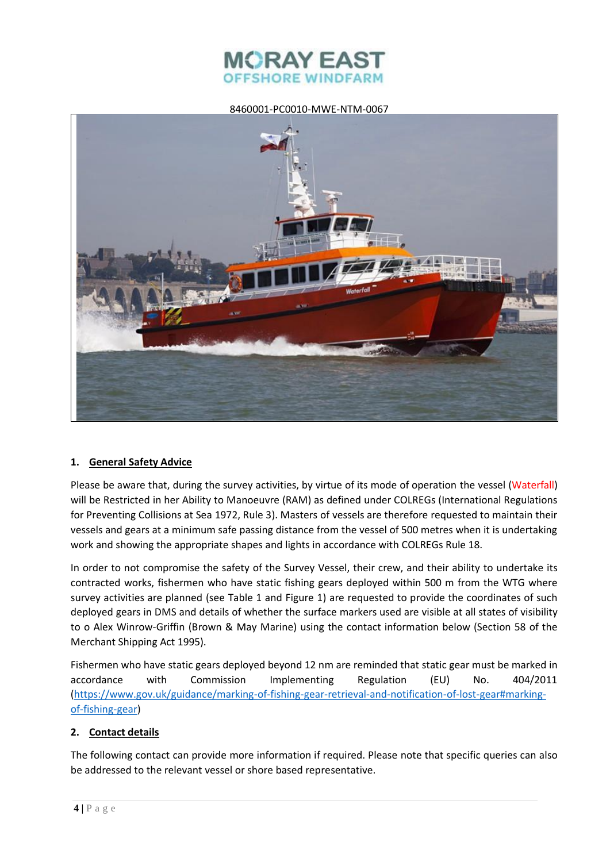



### **1. General Safety Advice**

Please be aware that, during the survey activities, by virtue of its mode of operation the vessel (Waterfall) will be Restricted in her Ability to Manoeuvre (RAM) as defined under COLREGs (International Regulations for Preventing Collisions at Sea 1972, Rule 3). Masters of vessels are therefore requested to maintain their vessels and gears at a minimum safe passing distance from the vessel of 500 metres when it is undertaking work and showing the appropriate shapes and lights in accordance with COLREGs Rule 18.

In order to not compromise the safety of the Survey Vessel, their crew, and their ability to undertake its contracted works, fishermen who have static fishing gears deployed within 500 m from the WTG where survey activities are planned (see Table 1 and Figure 1) are requested to provide the coordinates of such deployed gears in DMS and details of whether the surface markers used are visible at all states of visibility to o Alex Winrow-Griffin (Brown & May Marine) using the contact information below (Section 58 of the Merchant Shipping Act 1995).

Fishermen who have static gears deployed beyond 12 nm are reminded that static gear must be marked in accordance with Commission Implementing Regulation (EU) No. 404/2011 [\(https://www.gov.uk/guidance/marking-of-fishing-gear-retrieval-and-notification-of-lost-gear#marking](https://www.gov.uk/guidance/marking-of-fishing-gear-retrieval-and-notification-of-lost-gear#marking-of-fishing-gear)[of-fishing-gear\)](https://www.gov.uk/guidance/marking-of-fishing-gear-retrieval-and-notification-of-lost-gear#marking-of-fishing-gear)

## **2. Contact details**

The following contact can provide more information if required. Please note that specific queries can also be addressed to the relevant vessel or shore based representative.